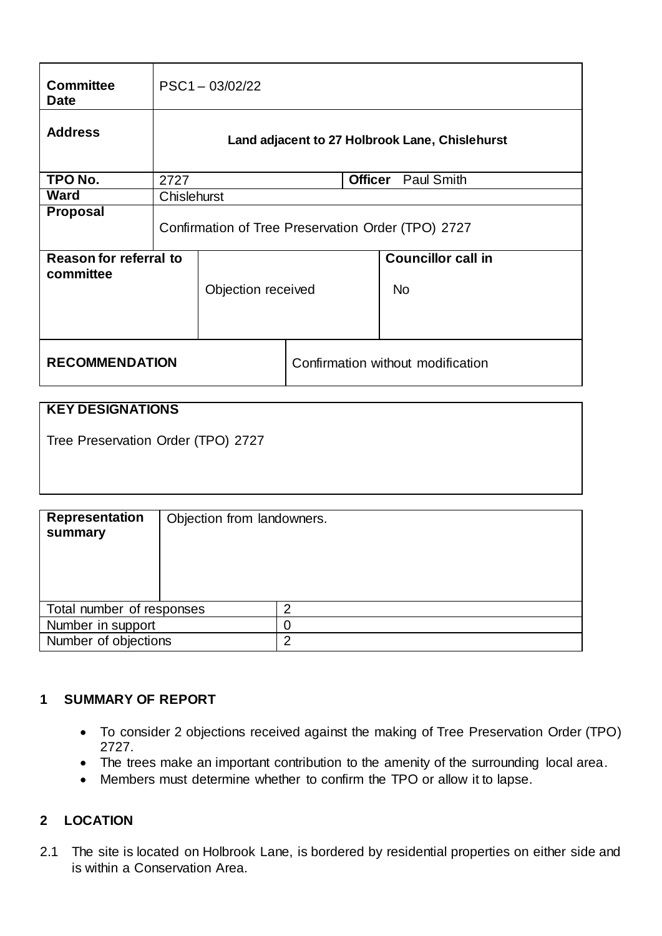| <b>Committee</b><br><b>Date</b>     | $PSC1 - 03/02/22$                                  |                    |                                   |                                     |                                        |
|-------------------------------------|----------------------------------------------------|--------------------|-----------------------------------|-------------------------------------|----------------------------------------|
| <b>Address</b>                      | Land adjacent to 27 Holbrook Lane, Chislehurst     |                    |                                   |                                     |                                        |
| TPO No.                             | 2727                                               |                    |                                   | <b>Officer</b><br><b>Paul Smith</b> |                                        |
| Ward                                | Chislehurst                                        |                    |                                   |                                     |                                        |
| <b>Proposal</b>                     | Confirmation of Tree Preservation Order (TPO) 2727 |                    |                                   |                                     |                                        |
| Reason for referral to<br>committee |                                                    | Objection received |                                   |                                     | <b>Councillor call in</b><br><b>No</b> |
| <b>RECOMMENDATION</b>               |                                                    |                    | Confirmation without modification |                                     |                                        |

# **KEY DESIGNATIONS**

Tree Preservation Order (TPO) 2727

| <b>Representation</b><br>summary | Objection from landowners. |   |
|----------------------------------|----------------------------|---|
| Total number of responses        |                            | ⌒ |
| Number in support                |                            | 0 |
| Number of objections             |                            | າ |

#### **1 SUMMARY OF REPORT**

- To consider 2 objections received against the making of Tree Preservation Order (TPO) 2727.
- The trees make an important contribution to the amenity of the surrounding local area.
- Members must determine whether to confirm the TPO or allow it to lapse.

## **2 LOCATION**

2.1 The site is located on Holbrook Lane, is bordered by residential properties on either side and is within a Conservation Area.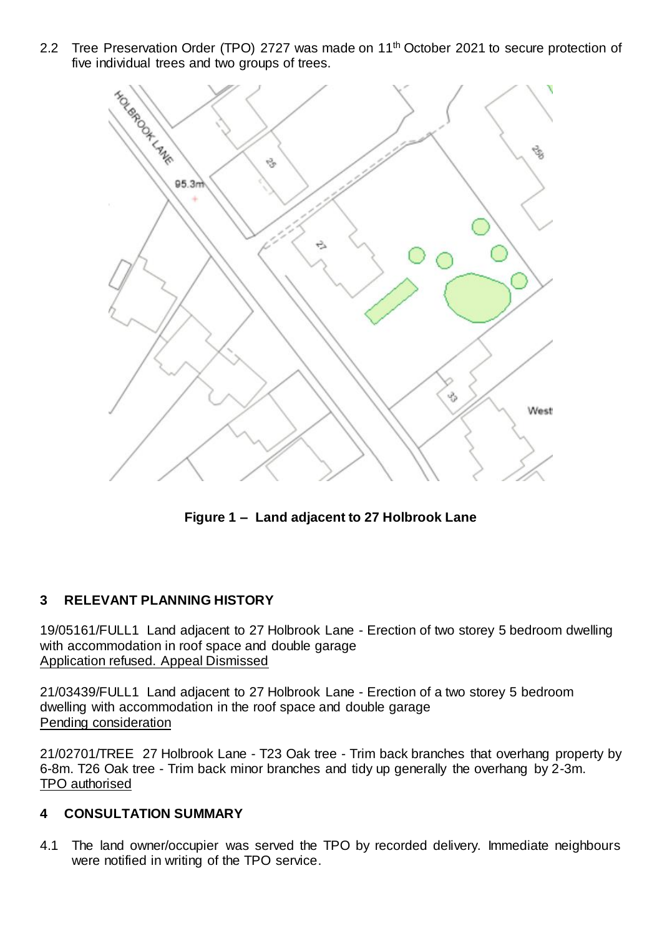2.2 Tree Preservation Order (TPO) 2727 was made on 11<sup>th</sup> October 2021 to secure protection of five individual trees and two groups of trees.



**Figure 1 – Land adjacent to 27 Holbrook Lane**

## **3 RELEVANT PLANNING HISTORY**

19/05161/FULL1 Land adjacent to 27 Holbrook Lane - Erection of two storey 5 bedroom dwelling with accommodation in roof space and double garage Application refused. Appeal Dismissed

21/03439/FULL1 Land adjacent to 27 Holbrook Lane - Erection of a two storey 5 bedroom dwelling with accommodation in the roof space and double garage Pending consideration

21/02701/TREE 27 Holbrook Lane - T23 Oak tree - Trim back branches that overhang property by 6-8m. T26 Oak tree - Trim back minor branches and tidy up generally the overhang by 2-3m. TPO authorised

## **4 CONSULTATION SUMMARY**

4.1 The land owner/occupier was served the TPO by recorded delivery. Immediate neighbours were notified in writing of the TPO service.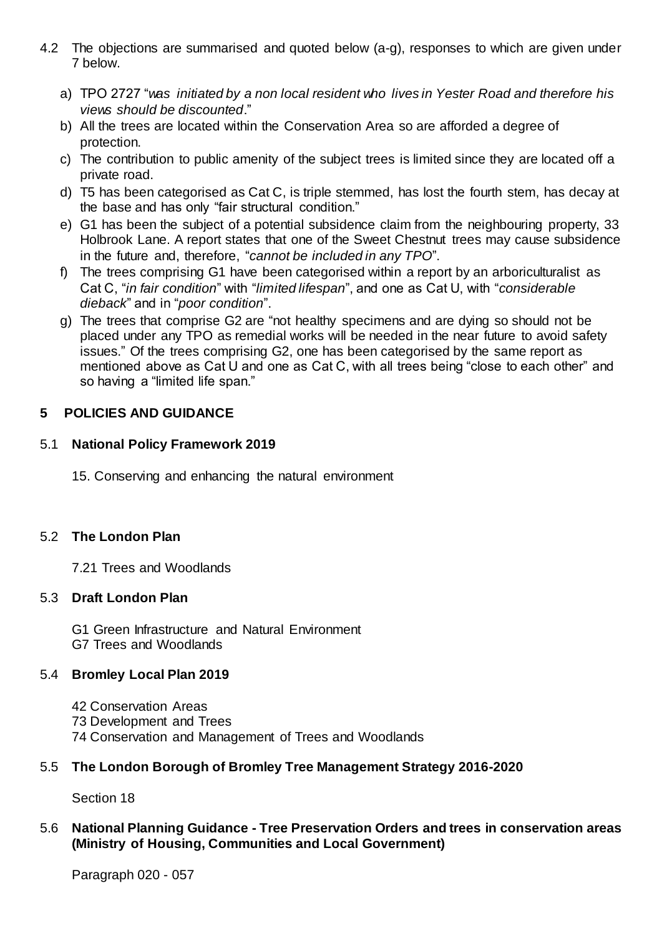- 4.2 The objections are summarised and quoted below (a-g), responses to which are given under 7 below.
	- a) TPO 2727 "*was initiated by a non local resident who lives in Yester Road and therefore his views should be discounted*."
	- b) All the trees are located within the Conservation Area so are afforded a degree of protection.
	- c) The contribution to public amenity of the subject trees is limited since they are located off a private road.
	- d) T5 has been categorised as Cat C, is triple stemmed, has lost the fourth stem, has decay at the base and has only "fair structural condition."
	- e) G1 has been the subject of a potential subsidence claim from the neighbouring property, 33 Holbrook Lane. A report states that one of the Sweet Chestnut trees may cause subsidence in the future and, therefore, "*cannot be included in any TPO*".
	- f) The trees comprising G1 have been categorised within a report by an arboriculturalist as Cat C, "*in fair condition*" with "*limited lifespan*", and one as Cat U, with "*considerable dieback*" and in "*poor condition*".
	- g) The trees that comprise G2 are "not healthy specimens and are dying so should not be placed under any TPO as remedial works will be needed in the near future to avoid safety issues." Of the trees comprising G2, one has been categorised by the same report as mentioned above as Cat U and one as Cat C, with all trees being "close to each other" and so having a "limited life span."

## **5 POLICIES AND GUIDANCE**

## 5.1 **National Policy Framework 2019**

15. Conserving and enhancing the natural environment

## 5.2 **The London Plan**

7.21 Trees and Woodlands

#### 5.3 **Draft London Plan**

G1 Green Infrastructure and Natural Environment G7 Trees and Woodlands

## 5.4 **Bromley Local Plan 2019**

42 Conservation Areas 73 Development and Trees 74 Conservation and Management of Trees and Woodlands

## 5.5 **The London Borough of Bromley Tree Management Strategy 2016-2020**

Section 18

### 5.6 **National Planning Guidance - Tree Preservation Orders and trees in conservation areas (Ministry of Housing, Communities and Local Government)**

Paragraph 020 - 057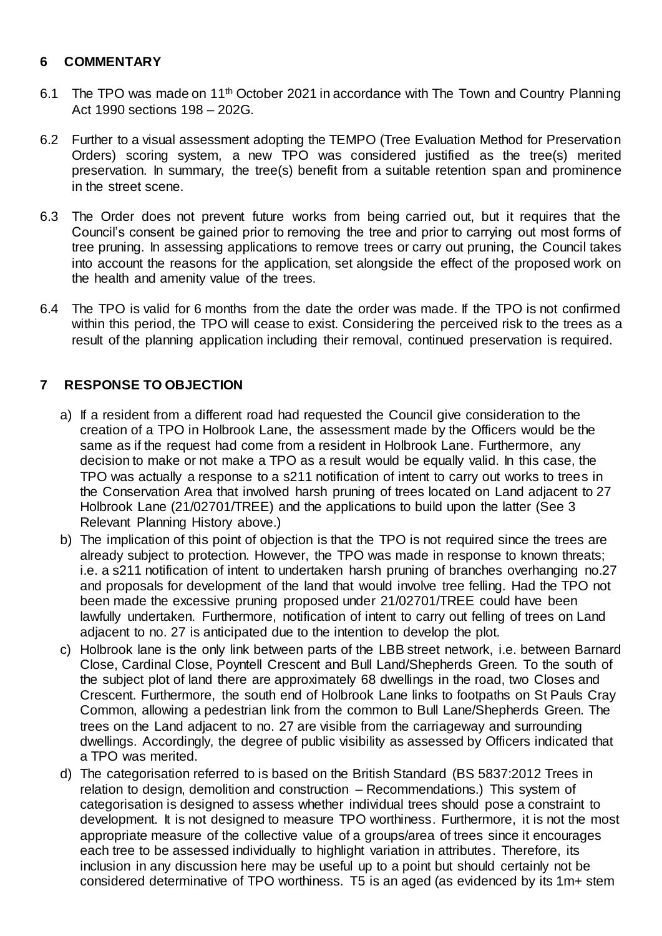### **6 COMMENTARY**

- 6.1 The TPO was made on 11<sup>th</sup> October 2021 in accordance with The Town and Country Planning Act 1990 sections 198 – 202G.
- 6.2 Further to a visual assessment adopting the TEMPO (Tree Evaluation Method for Preservation Orders) scoring system, a new TPO was considered justified as the tree(s) merited preservation. In summary, the tree(s) benefit from a suitable retention span and prominence in the street scene.
- 6.3 The Order does not prevent future works from being carried out, but it requires that the Council's consent be gained prior to removing the tree and prior to carrying out most forms of tree pruning. In assessing applications to remove trees or carry out pruning, the Council takes into account the reasons for the application, set alongside the effect of the proposed work on the health and amenity value of the trees.
- 6.4 The TPO is valid for 6 months from the date the order was made. If the TPO is not confirmed within this period, the TPO will cease to exist. Considering the perceived risk to the trees as a result of the planning application including their removal, continued preservation is required.

# **7 RESPONSE TO OBJECTION**

- a) If a resident from a different road had requested the Council give consideration to the creation of a TPO in Holbrook Lane, the assessment made by the Officers would be the same as if the request had come from a resident in Holbrook Lane. Furthermore, any decision to make or not make a TPO as a result would be equally valid. In this case, the TPO was actually a response to a s211 notification of intent to carry out works to trees in the Conservation Area that involved harsh pruning of trees located on Land adjacent to 27 Holbrook Lane (21/02701/TREE) and the applications to build upon the latter (See 3 Relevant Planning History above.)
- b) The implication of this point of objection is that the TPO is not required since the trees are already subject to protection. However, the TPO was made in response to known threats; i.e. a s211 notification of intent to undertaken harsh pruning of branches overhanging no.27 and proposals for development of the land that would involve tree felling. Had the TPO not been made the excessive pruning proposed under 21/02701/TREE could have been lawfully undertaken. Furthermore, notification of intent to carry out felling of trees on Land adjacent to no. 27 is anticipated due to the intention to develop the plot.
- c) Holbrook lane is the only link between parts of the LBB street network, i.e. between Barnard Close, Cardinal Close, Poyntell Crescent and Bull Land/Shepherds Green. To the south of the subject plot of land there are approximately 68 dwellings in the road, two Closes and Crescent. Furthermore, the south end of Holbrook Lane links to footpaths on St Pauls Cray Common, allowing a pedestrian link from the common to Bull Lane/Shepherds Green. The trees on the Land adjacent to no. 27 are visible from the carriageway and surrounding dwellings. Accordingly, the degree of public visibility as assessed by Officers indicated that a TPO was merited.
- d) The categorisation referred to is based on the British Standard (BS 5837:2012 Trees in relation to design, demolition and construction – Recommendations.) This system of categorisation is designed to assess whether individual trees should pose a constraint to development. It is not designed to measure TPO worthiness. Furthermore, it is not the most appropriate measure of the collective value of a groups/area of trees since it encourages each tree to be assessed individually to highlight variation in attributes. Therefore, its inclusion in any discussion here may be useful up to a point but should certainly not be considered determinative of TPO worthiness. T5 is an aged (as evidenced by its 1m+ stem